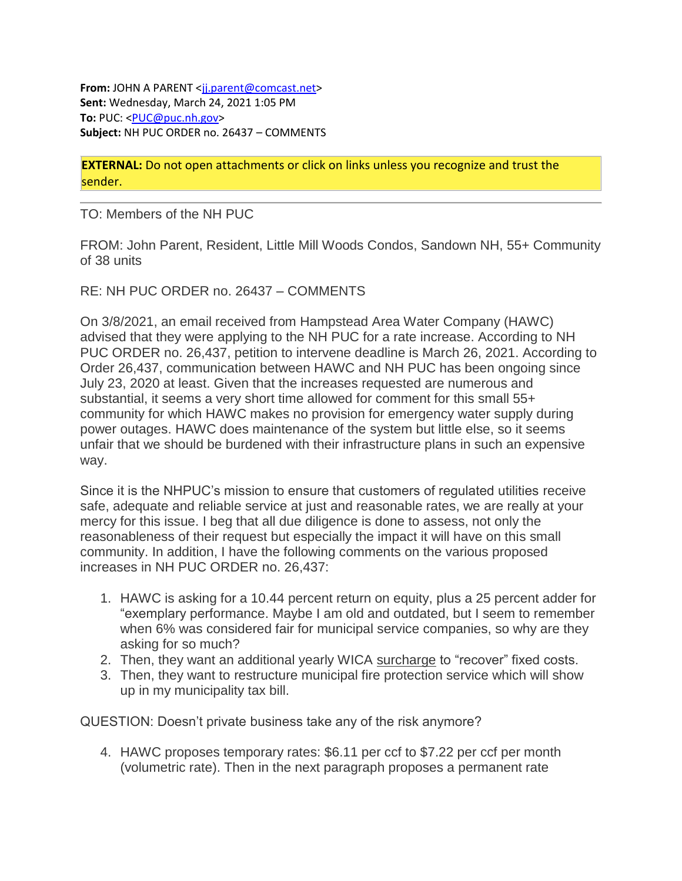**From:** JOHN A PARENT <ij.parent@comcast.net> **Sent:** Wednesday, March 24, 2021 1:05 PM **To:** PUC: [<PUC@puc.nh.gov>](mailto:PUC@puc.nh.gov) **Subject:** NH PUC ORDER no. 26437 – COMMENTS

**EXTERNAL:** Do not open attachments or click on links unless you recognize and trust the sender.

TO: Members of the NH PUC

FROM: John Parent, Resident, Little Mill Woods Condos, Sandown NH, 55+ Community of 38 units

RE: NH PUC ORDER no. 26437 – COMMENTS

On 3/8/2021, an email received from Hampstead Area Water Company (HAWC) advised that they were applying to the NH PUC for a rate increase. According to NH PUC ORDER no. 26,437, petition to intervene deadline is March 26, 2021. According to Order 26,437, communication between HAWC and NH PUC has been ongoing since July 23, 2020 at least. Given that the increases requested are numerous and substantial, it seems a very short time allowed for comment for this small 55+ community for which HAWC makes no provision for emergency water supply during power outages. HAWC does maintenance of the system but little else, so it seems unfair that we should be burdened with their infrastructure plans in such an expensive way.

Since it is the NHPUC's mission to ensure that customers of regulated utilities receive safe, adequate and reliable service at just and reasonable rates, we are really at your mercy for this issue. I beg that all due diligence is done to assess, not only the reasonableness of their request but especially the impact it will have on this small community. In addition, I have the following comments on the various proposed increases in NH PUC ORDER no. 26,437:

- 1. HAWC is asking for a 10.44 percent return on equity, plus a 25 percent adder for "exemplary performance. Maybe I am old and outdated, but I seem to remember when 6% was considered fair for municipal service companies, so why are they asking for so much?
- 2. Then, they want an additional yearly WICA surcharge to "recover" fixed costs.
- 3. Then, they want to restructure municipal fire protection service which will show up in my municipality tax bill.

QUESTION: Doesn't private business take any of the risk anymore?

4. HAWC proposes temporary rates: \$6.11 per ccf to \$7.22 per ccf per month (volumetric rate). Then in the next paragraph proposes a permanent rate